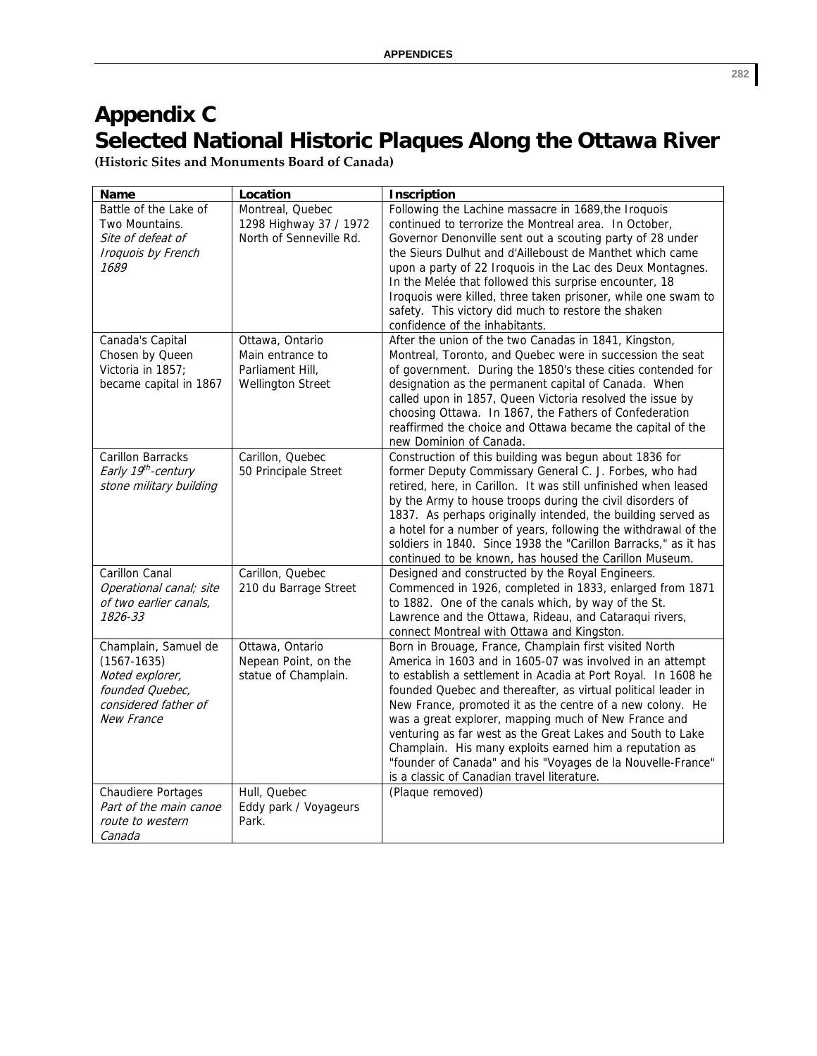## **Appendix C Selected National Historic Plaques Along the Ottawa River**

**(Historic Sites and Monuments Board of Canada)**

| <b>Name</b>                                                                                                         | Location                                                                            | <b>Inscription</b>                                                                                                                                                                                                                                                                                                                                                                                                                                                                                                                                                                                                |
|---------------------------------------------------------------------------------------------------------------------|-------------------------------------------------------------------------------------|-------------------------------------------------------------------------------------------------------------------------------------------------------------------------------------------------------------------------------------------------------------------------------------------------------------------------------------------------------------------------------------------------------------------------------------------------------------------------------------------------------------------------------------------------------------------------------------------------------------------|
| Battle of the Lake of<br>Two Mountains.<br>Site of defeat of<br>Iroquois by French<br>1689                          | Montreal, Quebec<br>1298 Highway 37 / 1972<br>North of Senneville Rd.               | Following the Lachine massacre in 1689, the Iroquois<br>continued to terrorize the Montreal area. In October,<br>Governor Denonville sent out a scouting party of 28 under<br>the Sieurs Dulhut and d'Ailleboust de Manthet which came<br>upon a party of 22 Iroquois in the Lac des Deux Montagnes.<br>In the Melée that followed this surprise encounter, 18<br>Iroquois were killed, three taken prisoner, while one swam to<br>safety. This victory did much to restore the shaken<br>confidence of the inhabitants.                                                                                          |
| Canada's Capital<br>Chosen by Queen<br>Victoria in 1857;<br>became capital in 1867                                  | Ottawa, Ontario<br>Main entrance to<br>Parliament Hill.<br><b>Wellington Street</b> | After the union of the two Canadas in 1841, Kingston,<br>Montreal, Toronto, and Quebec were in succession the seat<br>of government. During the 1850's these cities contended for<br>designation as the permanent capital of Canada. When<br>called upon in 1857, Queen Victoria resolved the issue by<br>choosing Ottawa. In 1867, the Fathers of Confederation<br>reaffirmed the choice and Ottawa became the capital of the<br>new Dominion of Canada.                                                                                                                                                         |
| <b>Carillon Barracks</b><br>Early 19 <sup>th</sup> -century<br>stone military building                              | Carillon, Quebec<br>50 Principale Street                                            | Construction of this building was begun about 1836 for<br>former Deputy Commissary General C. J. Forbes, who had<br>retired, here, in Carillon. It was still unfinished when leased<br>by the Army to house troops during the civil disorders of<br>1837. As perhaps originally intended, the building served as<br>a hotel for a number of years, following the withdrawal of the<br>soldiers in 1840. Since 1938 the "Carillon Barracks," as it has<br>continued to be known, has housed the Carillon Museum.                                                                                                   |
| Carillon Canal<br>Operational canal; site<br>of two earlier canals,<br>1826-33                                      | Carillon, Quebec<br>210 du Barrage Street                                           | Designed and constructed by the Royal Engineers.<br>Commenced in 1926, completed in 1833, enlarged from 1871<br>to 1882. One of the canals which, by way of the St.<br>Lawrence and the Ottawa, Rideau, and Cataraqui rivers,<br>connect Montreal with Ottawa and Kingston.                                                                                                                                                                                                                                                                                                                                       |
| Champlain, Samuel de<br>$(1567 - 1635)$<br>Noted explorer,<br>founded Quebec.<br>considered father of<br>New France | Ottawa, Ontario<br>Nepean Point, on the<br>statue of Champlain.                     | Born in Brouage, France, Champlain first visited North<br>America in 1603 and in 1605-07 was involved in an attempt<br>to establish a settlement in Acadia at Port Royal. In 1608 he<br>founded Quebec and thereafter, as virtual political leader in<br>New France, promoted it as the centre of a new colony. He<br>was a great explorer, mapping much of New France and<br>venturing as far west as the Great Lakes and South to Lake<br>Champlain. His many exploits earned him a reputation as<br>"founder of Canada" and his "Voyages de la Nouvelle-France"<br>is a classic of Canadian travel literature. |
| <b>Chaudiere Portages</b><br>Part of the main canoe<br>route to western<br>Canada                                   | Hull, Quebec<br>Eddy park / Voyageurs<br>Park.                                      | (Plaque removed)                                                                                                                                                                                                                                                                                                                                                                                                                                                                                                                                                                                                  |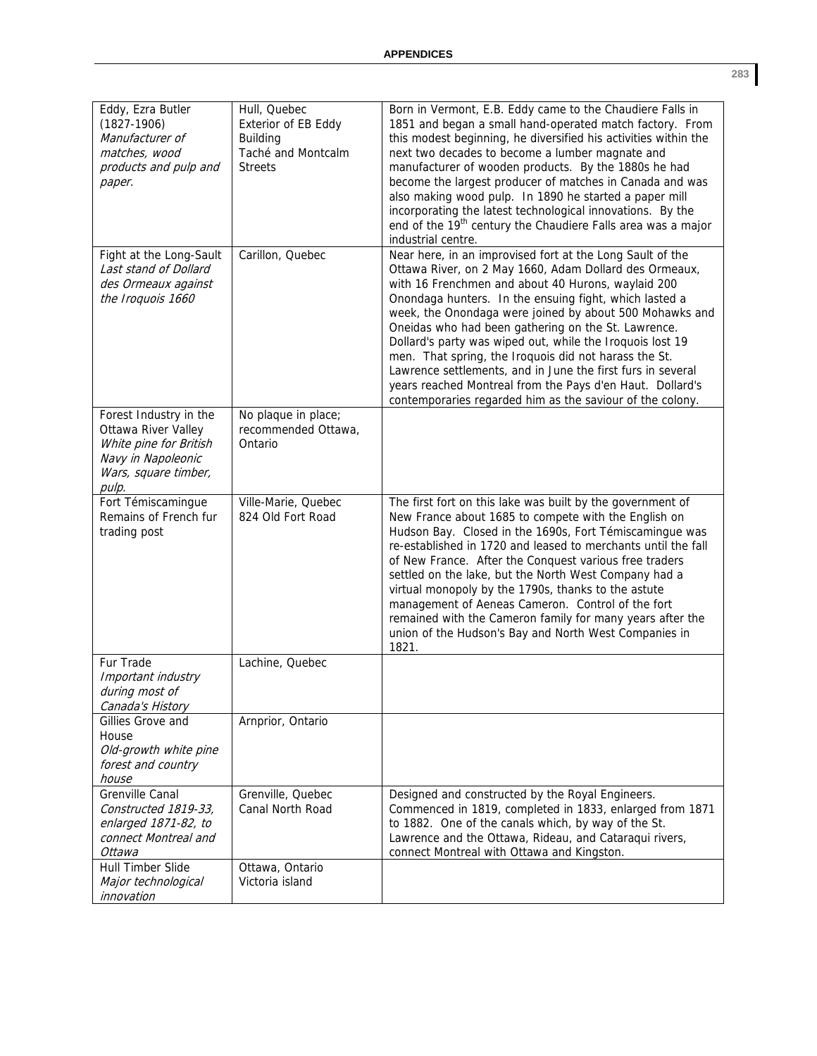| Eddy, Ezra Butler<br>$(1827-1906)$<br>Manufacturer of<br>matches, wood<br>products and pulp and<br>paper.                      | Hull, Quebec<br>Exterior of EB Eddy<br><b>Building</b><br>Taché and Montcalm<br><b>Streets</b> | Born in Vermont, E.B. Eddy came to the Chaudiere Falls in<br>1851 and began a small hand-operated match factory. From<br>this modest beginning, he diversified his activities within the<br>next two decades to become a lumber magnate and<br>manufacturer of wooden products. By the 1880s he had<br>become the largest producer of matches in Canada and was<br>also making wood pulp. In 1890 he started a paper mill<br>incorporating the latest technological innovations. By the<br>end of the 19 <sup>th</sup> century the Chaudiere Falls area was a major<br>industrial centre.                                                                            |
|--------------------------------------------------------------------------------------------------------------------------------|------------------------------------------------------------------------------------------------|----------------------------------------------------------------------------------------------------------------------------------------------------------------------------------------------------------------------------------------------------------------------------------------------------------------------------------------------------------------------------------------------------------------------------------------------------------------------------------------------------------------------------------------------------------------------------------------------------------------------------------------------------------------------|
| Fight at the Long-Sault<br>Last stand of Dollard<br>des Ormeaux against<br>the Iroquois 1660                                   | Carillon, Quebec                                                                               | Near here, in an improvised fort at the Long Sault of the<br>Ottawa River, on 2 May 1660, Adam Dollard des Ormeaux,<br>with 16 Frenchmen and about 40 Hurons, waylaid 200<br>Onondaga hunters. In the ensuing fight, which lasted a<br>week, the Onondaga were joined by about 500 Mohawks and<br>Oneidas who had been gathering on the St. Lawrence.<br>Dollard's party was wiped out, while the Iroquois lost 19<br>men. That spring, the Iroquois did not harass the St.<br>Lawrence settlements, and in June the first furs in several<br>years reached Montreal from the Pays d'en Haut. Dollard's<br>contemporaries regarded him as the saviour of the colony. |
| Forest Industry in the<br>Ottawa River Valley<br>White pine for British<br>Navy in Napoleonic<br>Wars, square timber,<br>pulp. | No plaque in place;<br>recommended Ottawa,<br>Ontario                                          |                                                                                                                                                                                                                                                                                                                                                                                                                                                                                                                                                                                                                                                                      |
| Fort Témiscamingue<br>Remains of French fur<br>trading post                                                                    | Ville-Marie, Quebec<br>824 Old Fort Road                                                       | The first fort on this lake was built by the government of<br>New France about 1685 to compete with the English on<br>Hudson Bay. Closed in the 1690s, Fort Témiscamingue was<br>re-established in 1720 and leased to merchants until the fall<br>of New France. After the Conquest various free traders<br>settled on the lake, but the North West Company had a<br>virtual monopoly by the 1790s, thanks to the astute<br>management of Aeneas Cameron. Control of the fort<br>remained with the Cameron family for many years after the<br>union of the Hudson's Bay and North West Companies in<br>1821.                                                         |
| Fur Trade<br>Important industry<br>during most of<br>Canada's History                                                          | Lachine, Quebec                                                                                |                                                                                                                                                                                                                                                                                                                                                                                                                                                                                                                                                                                                                                                                      |
| Gillies Grove and<br>House<br>Old-growth white pine<br>forest and country<br>house                                             | Arnprior, Ontario                                                                              |                                                                                                                                                                                                                                                                                                                                                                                                                                                                                                                                                                                                                                                                      |
| Grenville Canal<br>Constructed 1819-33,<br>enlarged 1871-82, to<br>connect Montreal and<br>Ottawa                              | Grenville, Quebec<br>Canal North Road                                                          | Designed and constructed by the Royal Engineers.<br>Commenced in 1819, completed in 1833, enlarged from 1871<br>to 1882. One of the canals which, by way of the St.<br>Lawrence and the Ottawa, Rideau, and Cataraqui rivers,<br>connect Montreal with Ottawa and Kingston.                                                                                                                                                                                                                                                                                                                                                                                          |
| Hull Timber Slide<br>Major technological<br>innovation                                                                         | Ottawa, Ontario<br>Victoria island                                                             |                                                                                                                                                                                                                                                                                                                                                                                                                                                                                                                                                                                                                                                                      |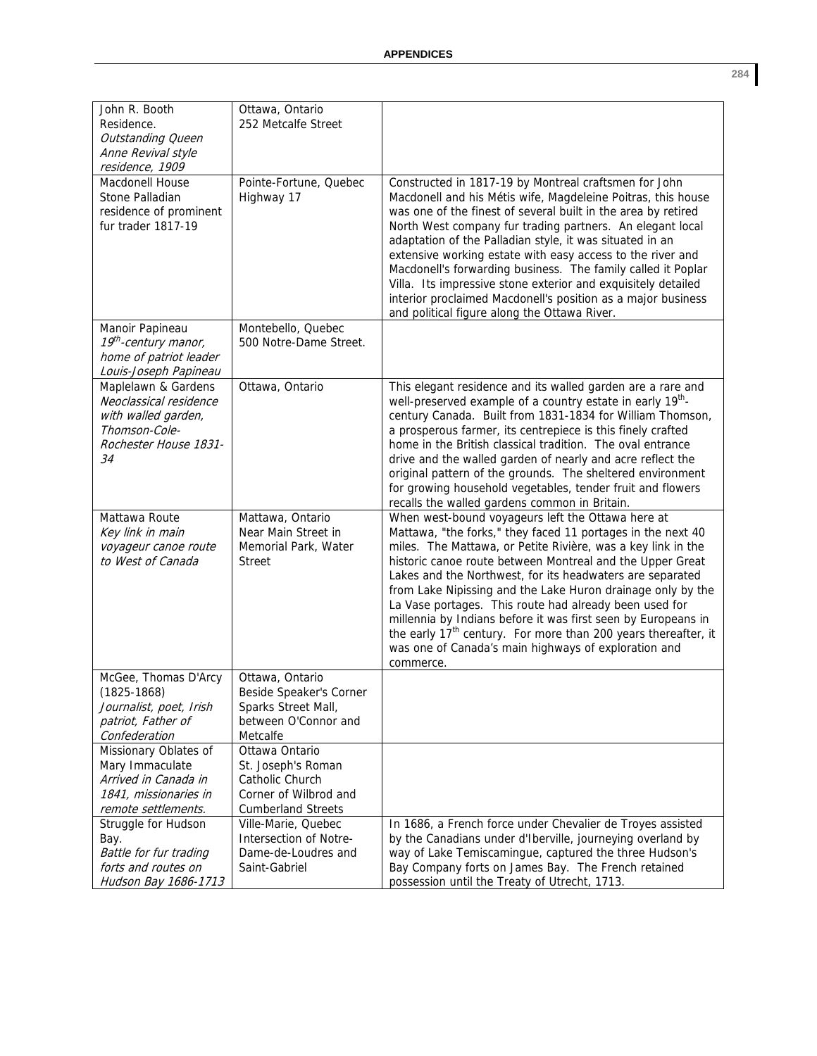| John R. Booth<br>Residence.<br><b>Outstanding Queen</b><br>Anne Revival style<br>residence, 1909<br>Macdonell House  | Ottawa, Ontario<br>252 Metcalfe Street<br>Pointe-Fortune, Quebec                                              | Constructed in 1817-19 by Montreal craftsmen for John                                                                                                                                                                                                                                                                                                                                                                                                                                                                                                                                                                                                   |
|----------------------------------------------------------------------------------------------------------------------|---------------------------------------------------------------------------------------------------------------|---------------------------------------------------------------------------------------------------------------------------------------------------------------------------------------------------------------------------------------------------------------------------------------------------------------------------------------------------------------------------------------------------------------------------------------------------------------------------------------------------------------------------------------------------------------------------------------------------------------------------------------------------------|
| Stone Palladian<br>residence of prominent<br>fur trader 1817-19                                                      | Highway 17                                                                                                    | Macdonell and his Métis wife, Magdeleine Poitras, this house<br>was one of the finest of several built in the area by retired<br>North West company fur trading partners. An elegant local<br>adaptation of the Palladian style, it was situated in an<br>extensive working estate with easy access to the river and<br>Macdonell's forwarding business. The family called it Poplar<br>Villa. Its impressive stone exterior and exquisitely detailed<br>interior proclaimed Macdonell's position as a major business<br>and political figure along the Ottawa River.                                                                                   |
| Manoir Papineau<br>19 <sup>th</sup> -century manor,<br>home of patriot leader<br>Louis-Joseph Papineau               | Montebello, Quebec<br>500 Notre-Dame Street.                                                                  |                                                                                                                                                                                                                                                                                                                                                                                                                                                                                                                                                                                                                                                         |
| Maplelawn & Gardens<br>Neoclassical residence<br>with walled garden,<br>Thomson-Cole-<br>Rochester House 1831-<br>34 | Ottawa, Ontario                                                                                               | This elegant residence and its walled garden are a rare and<br>well-preserved example of a country estate in early 19 <sup>th</sup> -<br>century Canada. Built from 1831-1834 for William Thomson,<br>a prosperous farmer, its centrepiece is this finely crafted<br>home in the British classical tradition. The oval entrance<br>drive and the walled garden of nearly and acre reflect the<br>original pattern of the grounds. The sheltered environment<br>for growing household vegetables, tender fruit and flowers<br>recalls the walled gardens common in Britain.                                                                              |
| Mattawa Route<br>Key link in main<br>voyageur canoe route<br>to West of Canada                                       | Mattawa, Ontario<br>Near Main Street in<br>Memorial Park, Water<br><b>Street</b>                              | When west-bound voyageurs left the Ottawa here at<br>Mattawa, "the forks," they faced 11 portages in the next 40<br>miles. The Mattawa, or Petite Rivière, was a key link in the<br>historic canoe route between Montreal and the Upper Great<br>Lakes and the Northwest, for its headwaters are separated<br>from Lake Nipissing and the Lake Huron drainage only by the<br>La Vase portages. This route had already been used for<br>millennia by Indians before it was first seen by Europeans in<br>the early 17 <sup>th</sup> century. For more than 200 years thereafter, it<br>was one of Canada's main highways of exploration and<br>commerce. |
| McGee, Thomas D'Arcy<br>$(1825 - 1868)$<br>Journalist, poet, Irish<br>patriot, Father of<br>Confederation            | Ottawa, Ontario<br>Beside Speaker's Corner<br>Sparks Street Mall,<br>between O'Connor and<br>Metcalfe         |                                                                                                                                                                                                                                                                                                                                                                                                                                                                                                                                                                                                                                                         |
| Missionary Oblates of<br>Mary Immaculate<br>Arrived in Canada in<br>1841, missionaries in<br>remote settlements.     | Ottawa Ontario<br>St. Joseph's Roman<br>Catholic Church<br>Corner of Wilbrod and<br><b>Cumberland Streets</b> |                                                                                                                                                                                                                                                                                                                                                                                                                                                                                                                                                                                                                                                         |
| Struggle for Hudson<br>Bay.<br>Battle for fur trading<br>forts and routes on<br>Hudson Bay 1686-1713                 | Ville-Marie, Quebec<br>Intersection of Notre-<br>Dame-de-Loudres and<br>Saint-Gabriel                         | In 1686, a French force under Chevalier de Troyes assisted<br>by the Canadians under d'Iberville, journeying overland by<br>way of Lake Temiscamingue, captured the three Hudson's<br>Bay Company forts on James Bay. The French retained<br>possession until the Treaty of Utrecht, 1713.                                                                                                                                                                                                                                                                                                                                                              |